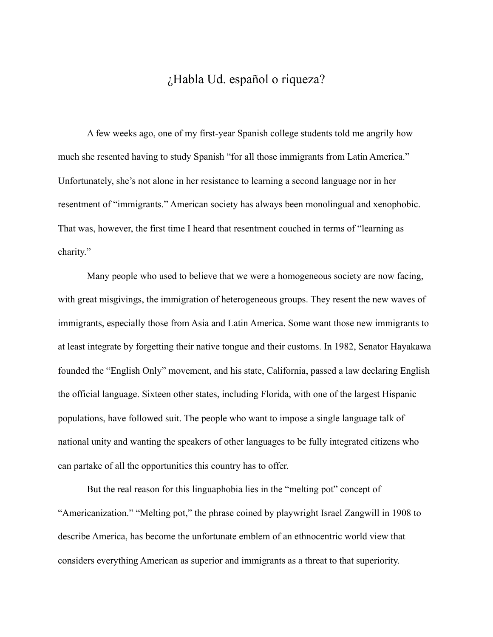## ¿Habla Ud. español o riqueza?

 A few weeks ago, one of my first-year Spanish college students told me angrily how much she resented having to study Spanish "for all those immigrants from Latin America." Unfortunately, she's not alone in her resistance to learning a second language nor in her resentment of "immigrants." American society has always been monolingual and xenophobic. That was, however, the first time I heard that resentment couched in terms of "learning as charity."

 Many people who used to believe that we were a homogeneous society are now facing, with great misgivings, the immigration of heterogeneous groups. They resent the new waves of immigrants, especially those from Asia and Latin America. Some want those new immigrants to at least integrate by forgetting their native tongue and their customs. In 1982, Senator Hayakawa founded the "English Only" movement, and his state, California, passed a law declaring English the official language. Sixteen other states, including Florida, with one of the largest Hispanic populations, have followed suit. The people who want to impose a single language talk of national unity and wanting the speakers of other languages to be fully integrated citizens who can partake of all the opportunities this country has to offer.

 But the real reason for this linguaphobia lies in the "melting pot" concept of "Americanization." "Melting pot," the phrase coined by playwright Israel Zangwill in 1908 to describe America, has become the unfortunate emblem of an ethnocentric world view that considers everything American as superior and immigrants as a threat to that superiority.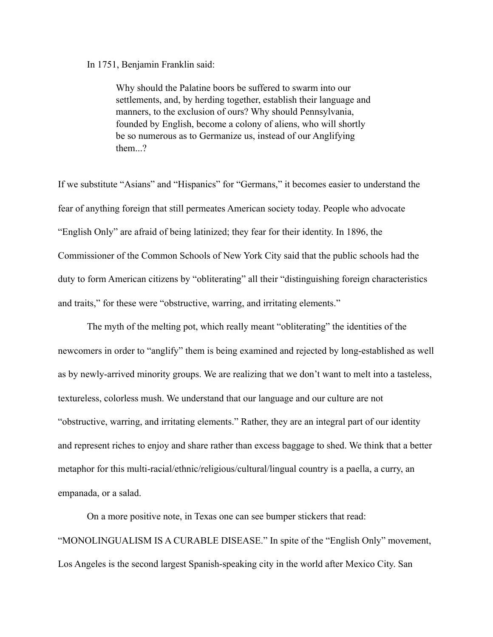In 1751, Benjamin Franklin said:

Why should the Palatine boors be suffered to swarm into our settlements, and, by herding together, establish their language and manners, to the exclusion of ours? Why should Pennsylvania, founded by English, become a colony of aliens, who will shortly be so numerous as to Germanize us, instead of our Anglifying them...?

If we substitute "Asians" and "Hispanics" for "Germans," it becomes easier to understand the fear of anything foreign that still permeates American society today. People who advocate "English Only" are afraid of being latinized; they fear for their identity. In 1896, the Commissioner of the Common Schools of New York City said that the public schools had the duty to form American citizens by "obliterating" all their "distinguishing foreign characteristics and traits," for these were "obstructive, warring, and irritating elements."

 The myth of the melting pot, which really meant "obliterating" the identities of the newcomers in order to "anglify" them is being examined and rejected by long-established as well as by newly-arrived minority groups. We are realizing that we don't want to melt into a tasteless, textureless, colorless mush. We understand that our language and our culture are not "obstructive, warring, and irritating elements." Rather, they are an integral part of our identity and represent riches to enjoy and share rather than excess baggage to shed. We think that a better metaphor for this multi-racial/ethnic/religious/cultural/lingual country is a paella, a curry, an empanada, or a salad.

 On a more positive note, in Texas one can see bumper stickers that read: "MONOLINGUALISM IS A CURABLE DISEASE." In spite of the "English Only" movement, Los Angeles is the second largest Spanish-speaking city in the world after Mexico City. San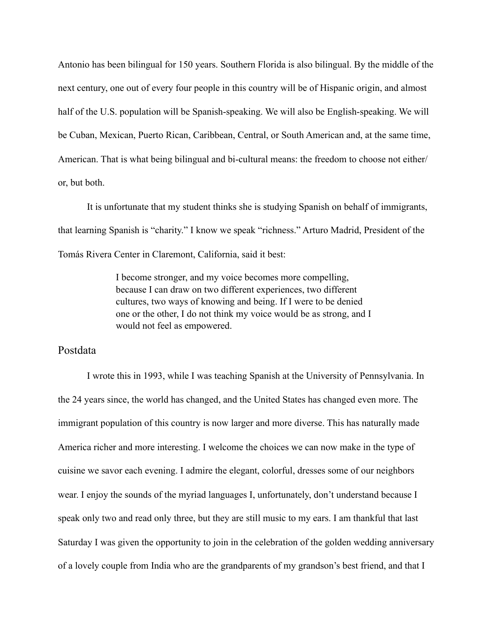Antonio has been bilingual for 150 years. Southern Florida is also bilingual. By the middle of the next century, one out of every four people in this country will be of Hispanic origin, and almost half of the U.S. population will be Spanish-speaking. We will also be English-speaking. We will be Cuban, Mexican, Puerto Rican, Caribbean, Central, or South American and, at the same time, American. That is what being bilingual and bi-cultural means: the freedom to choose not either/ or, but both.

 It is unfortunate that my student thinks she is studying Spanish on behalf of immigrants, that learning Spanish is "charity." I know we speak "richness." Arturo Madrid, President of the Tomás Rivera Center in Claremont, California, said it best:

> I become stronger, and my voice becomes more compelling, because I can draw on two different experiences, two different cultures, two ways of knowing and being. If I were to be denied one or the other, I do not think my voice would be as strong, and I would not feel as empowered.

## Postdata

 I wrote this in 1993, while I was teaching Spanish at the University of Pennsylvania. In the 24 years since, the world has changed, and the United States has changed even more. The immigrant population of this country is now larger and more diverse. This has naturally made America richer and more interesting. I welcome the choices we can now make in the type of cuisine we savor each evening. I admire the elegant, colorful, dresses some of our neighbors wear. I enjoy the sounds of the myriad languages I, unfortunately, don't understand because I speak only two and read only three, but they are still music to my ears. I am thankful that last Saturday I was given the opportunity to join in the celebration of the golden wedding anniversary of a lovely couple from India who are the grandparents of my grandson's best friend, and that I